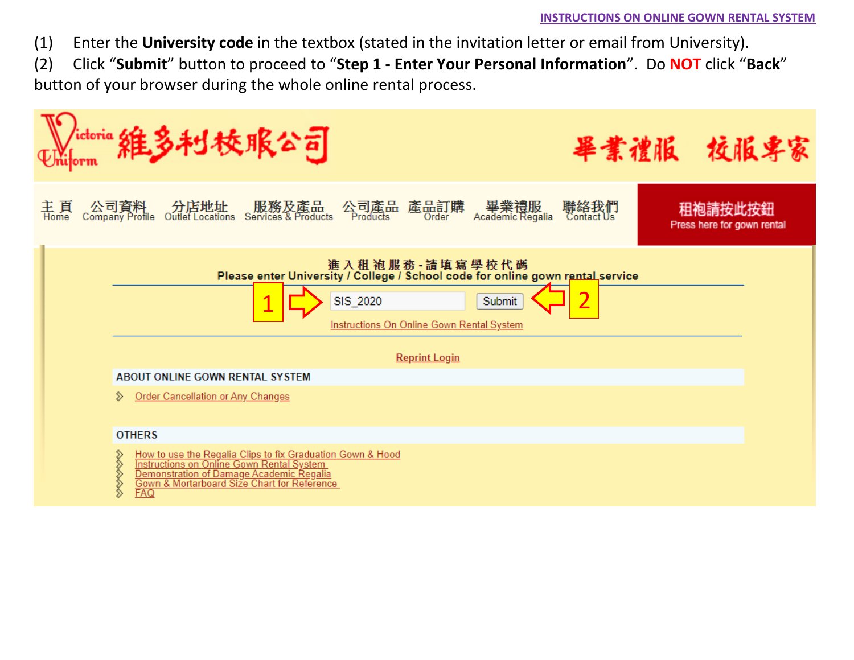(1) Enter the **University code** in the textbox (stated in the invitation letter or email from University).

(2) Click "**Submit**" button to proceed to "**Step 1 - Enter Your Personal Information**". Do **NOT** click "**Back**" button of your browser during the whole online rental process.

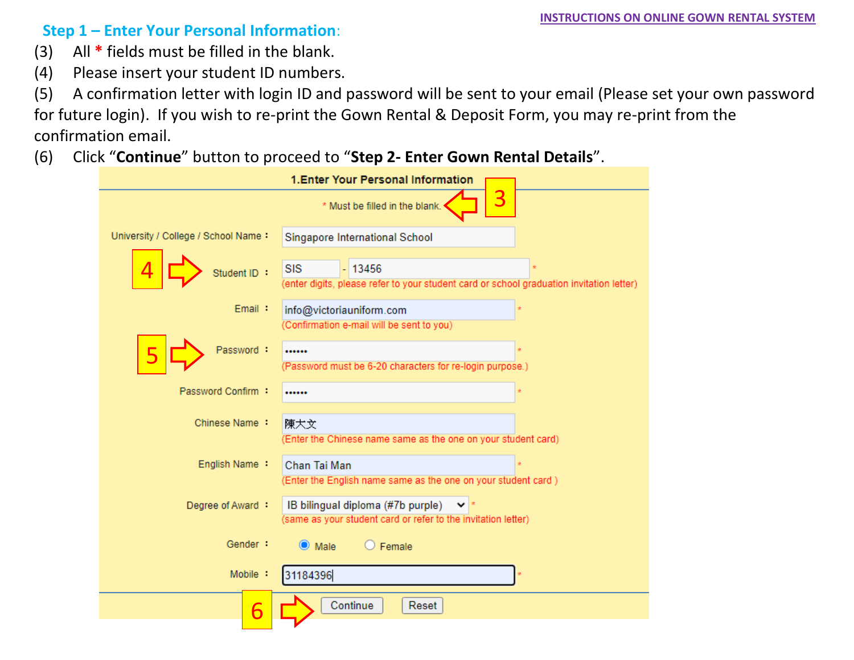## **Step 1 – Enter Your Personal Information**:

- (3) All **\*** fields must be filled in the blank.
- (4) Please insert your student ID numbers.

(5) A confirmation letter with login ID and password will be sent to your email (Please set your own password for future login). If you wish to re-print the Gown Rental & Deposit Form, you may re-print from the confirmation email.

(6) Click "**Continue**" button to proceed to "**Step 2- Enter Gown Rental Details**".

|                                     | 1. Enter Your Personal Information                                                                                 |
|-------------------------------------|--------------------------------------------------------------------------------------------------------------------|
|                                     | 3<br>* Must be filled in the blank.                                                                                |
| University / College / School Name: | Singapore International School                                                                                     |
| Student ID :                        | <b>SIS</b><br>$-13456$<br>(enter digits, please refer to your student card or school graduation invitation letter) |
| Email:                              | info@victoriauniform.com                                                                                           |
|                                     | (Confirmation e-mail will be sent to you)                                                                          |
| Password:                           |                                                                                                                    |
|                                     | (Password must be 6-20 characters for re-login purpose.)                                                           |
| Password Confirm :                  |                                                                                                                    |
| Chinese Name:                       | 陳大文<br>(Enter the Chinese name same as the one on your student card)                                               |
| English Name:                       | Chan Tai Man                                                                                                       |
|                                     | (Enter the English name same as the one on your student card)                                                      |
| Degree of Award :                   | IB bilingual diploma (#7b purple)                                                                                  |
|                                     | (same as your student card or refer to the invitation letter)                                                      |
| Gender:                             | Female<br>$\bullet$ Male                                                                                           |
| Mobile:                             | 31184396                                                                                                           |
| 6                                   | Continue<br>Reset                                                                                                  |
|                                     |                                                                                                                    |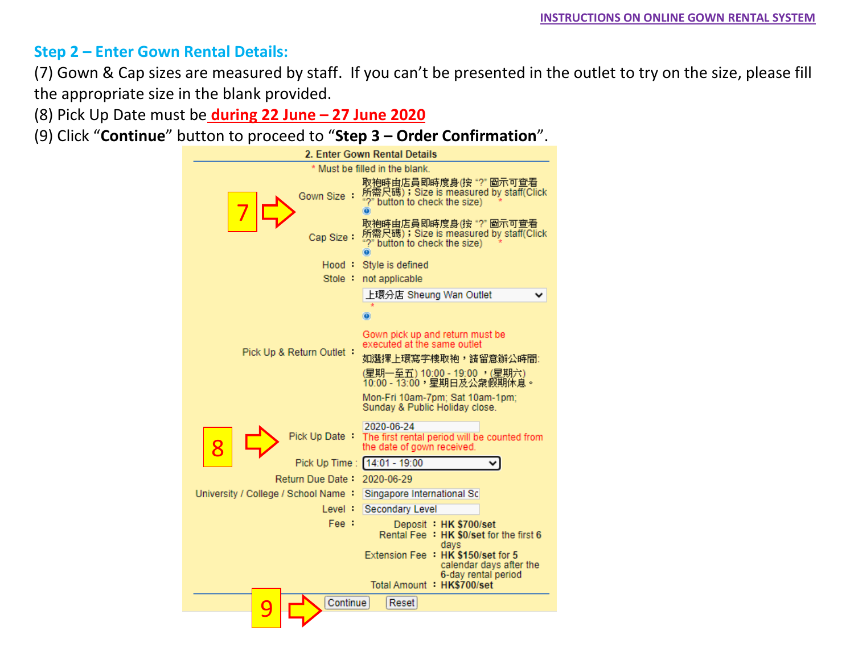## **Step 2 – Enter Gown Rental Details:**

(7) Gown & Cap sizes are measured by staff. If you can't be presented in the outlet to try on the size, please fill the appropriate size in the blank provided.

(8) Pick Up Date must be **during 22 June – 27 June 2020**

(9) Click "**Continue**" button to proceed to "**Step 3 – Order Confirmation**".

| 2. Enter Gown Rental Details                                                     |                                                                                                        |  |  |  |  |  |
|----------------------------------------------------------------------------------|--------------------------------------------------------------------------------------------------------|--|--|--|--|--|
|                                                                                  | * Must be filled in the blank.                                                                         |  |  |  |  |  |
| Gown Size                                                                        | 取袍時由店員即時度身(按 "?" 圖示可查看<br>所需尺碼);Size is measured by staff(Click<br>?" button to check the size)<br>۰   |  |  |  |  |  |
| Cap Size:                                                                        | 取袍時由店員即時度身(按 "?" 圖示可查看<br>所需尺碼);Size is measured by staff(Click<br>"?" button to check the size)<br>O) |  |  |  |  |  |
| Hood :                                                                           | Style is defined                                                                                       |  |  |  |  |  |
| Stole :                                                                          | not applicable                                                                                         |  |  |  |  |  |
|                                                                                  | 上環分店 Sheung Wan Outlet                                                                                 |  |  |  |  |  |
|                                                                                  |                                                                                                        |  |  |  |  |  |
|                                                                                  | Gown pick up and return must be<br>executed at the same outlet                                         |  |  |  |  |  |
| Pick Up & Return Outlet :                                                        | 如選擇上環寫字樓取袍,請留意辦公時間:                                                                                    |  |  |  |  |  |
|                                                                                  | (星期一至五) 10:00 - 19:00 (星期六)<br>10:00 - 13:00,星期日及公衆假期休息。                                               |  |  |  |  |  |
|                                                                                  | Mon-Fri 10am-7pm; Sat 10am-1pm;<br>Sunday & Public Holiday close.                                      |  |  |  |  |  |
| Pick Up Date                                                                     | 2020-06-24<br>The first rental period will be counted from<br>the date of gown received.               |  |  |  |  |  |
| Pick Up Time:                                                                    | $14:01 - 19:00$                                                                                        |  |  |  |  |  |
| Return Due Date                                                                  | 2020-06-29                                                                                             |  |  |  |  |  |
| University / College / School Name:                                              | Singapore International Sc                                                                             |  |  |  |  |  |
| Level:                                                                           | Secondary Level                                                                                        |  |  |  |  |  |
| Fee :<br>Deposit HK \$700/set<br>Rental Fee : HK \$0/set for the first 6<br>days |                                                                                                        |  |  |  |  |  |
| Extension Fee : HK \$150/set for 5<br>calendar days after the                    |                                                                                                        |  |  |  |  |  |
| 6-day rental period<br>Total Amount HK\$700/set                                  |                                                                                                        |  |  |  |  |  |
| Continue<br>Reset                                                                |                                                                                                        |  |  |  |  |  |
|                                                                                  |                                                                                                        |  |  |  |  |  |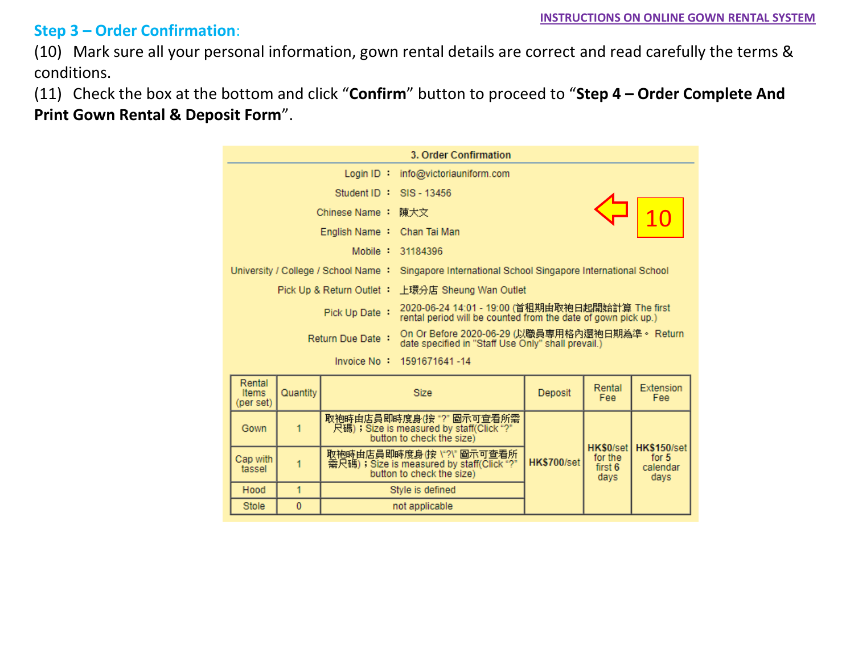## **Step 3 – Order Confirmation**:

(10) Mark sure all your personal information, gown rental details are correct and read carefully the terms & conditions.

(11) Check the box at the bottom and click "**Confirm**" button to proceed to "**Step 4 – Order Complete And Print Gown Rental & Deposit Form**".



| Rental<br><b>Items</b><br>(per set) | Quantity | <b>Size</b>                                                                                          | Deposit            | Rental<br>Fee                           | Extension<br>Fee:                          |
|-------------------------------------|----------|------------------------------------------------------------------------------------------------------|--------------------|-----------------------------------------|--------------------------------------------|
| Gown                                |          | 取袍時由店員即時度身(按"?"圖示可查看所需。<br>尺碼);Size is measured by staff(Click "?"<br>button to check the size)      |                    | HK\$0/set<br>for the<br>first 6<br>days | HK\$150/set<br>for $5$<br>calendar<br>days |
| Cap with<br>tassel                  |          | 取袍時由店員即時度身(按 \"?\" 圖示可查看所。<br>需尺碼); Size is measured by staff(Click "?"<br>button to check the size) | <b>HK\$700/set</b> |                                         |                                            |
| Hood                                |          | Style is defined                                                                                     |                    |                                         |                                            |
| <b>Stole</b>                        | $\bf{0}$ | not applicable                                                                                       |                    |                                         |                                            |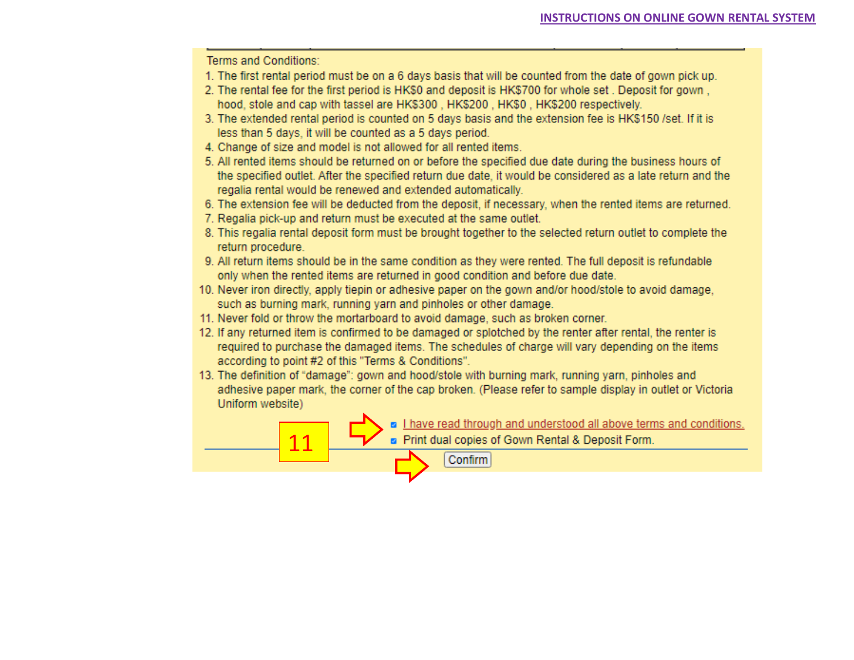Terms and Conditions:

- 1. The first rental period must be on a 6 days basis that will be counted from the date of gown pick up.
- 2. The rental fee for the first period is HK\$0 and deposit is HK\$700 for whole set. Deposit for gown. hood, stole and cap with tassel are HK\$300, HK\$200, HK\$0, HK\$200 respectively.
- 3. The extended rental period is counted on 5 days basis and the extension fee is HK\$150 /set. If it is less than 5 days, it will be counted as a 5 days period.
- 4. Change of size and model is not allowed for all rented items.
- 5. All rented items should be returned on or before the specified due date during the business hours of the specified outlet. After the specified return due date, it would be considered as a late return and the regalia rental would be renewed and extended automatically.
- 6. The extension fee will be deducted from the deposit, if necessary, when the rented items are returned.
- 7. Regalia pick-up and return must be executed at the same outlet.
- 8. This regalia rental deposit form must be brought together to the selected return outlet to complete the return procedure.
- 9. All return items should be in the same condition as they were rented. The full deposit is refundable only when the rented items are returned in good condition and before due date.
- 10. Never iron directly, apply tiepin or adhesive paper on the gown and/or hood/stole to avoid damage, such as burning mark, running yarn and pinholes or other damage.
- 11. Never fold or throw the mortarboard to avoid damage, such as broken corner.
- 12. If any returned item is confirmed to be damaged or splotched by the renter after rental, the renter is required to purchase the damaged items. The schedules of charge will vary depending on the items according to point #2 of this "Terms & Conditions".
- 13. The definition of "damage": gown and hood/stole with burning mark, running yarn, pinholes and adhesive paper mark, the corner of the cap broken. (Please refer to sample display in outlet or Victoria Uniform website)

**a** I have read through and understood all above terms and conditions. a Print dual copies of Gown Rental & Deposit Form.  $11$ Confirm